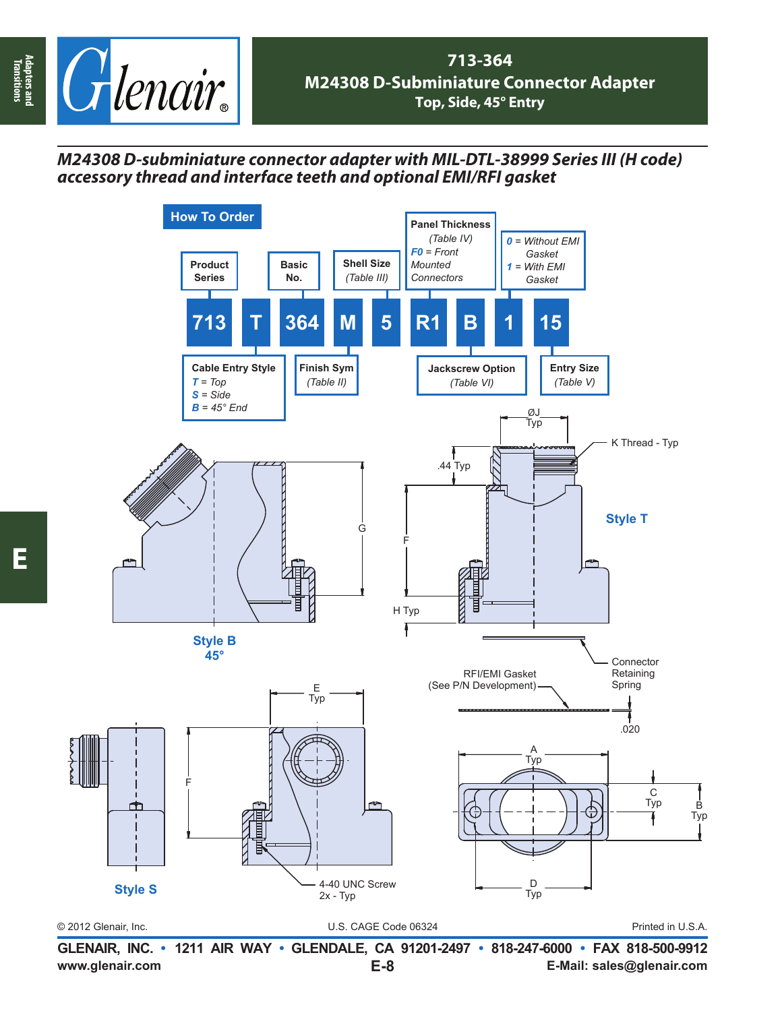

## *M24308 D-subminiature connector adapter with MIL-DTL-38999 Series III (H code) accessory thread and interface teeth and optional EMI/RFI gasket*



**www.glenair.com E-Mail: sales@glenair.com GLENAIR, INC. • 1211 AIR WAY • GLENDALE, CA 91201-2497 • 818-247-6000 • FAX 818-500-9912 E-8**

**Adapters and Transitions**

Adapters and<br>Transitions